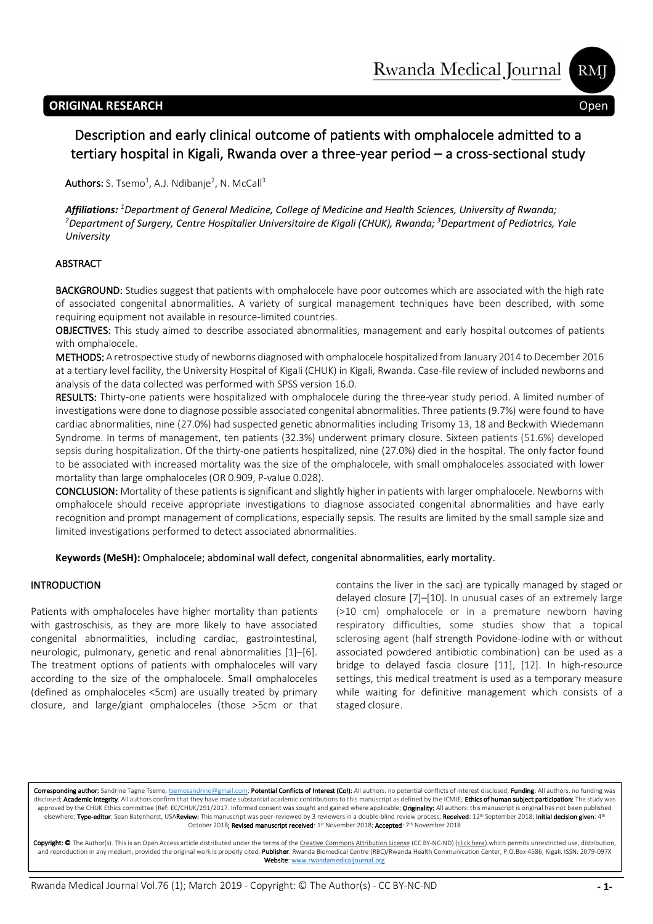# **ORIGINAL RESEARCH** Open

**RMI** 

# Description and early clinical outcome of patients with omphalocele admitted to a tertiary hospital in Kigali, Rwanda over a three-year period – a cross-sectional study access

I

 $\mathsf{Authors}\text{: S. Tsemo}^1$ , A.J. Ndibanje<sup>2</sup>, N. McCall<sup>3</sup>

i

*Affiliations: <sup>1</sup> Department of General Medicine, College of Medicine and Health Sciences, University of Rwanda; 2 Department of Surgery, Centre Hospitalier Universitaire de Kigali (CHUK), Rwanda; 3 Department of Pediatrics, Yale University*

### ABSTRACT

BACKGROUND: Studies suggest that patients with omphalocele have poor outcomes which are associated with the high rate of associated congenital abnormalities. A variety of surgical management techniques have been described, with some requiring equipment not available in resource-limited countries.

OBJECTIVES: This study aimed to describe associated abnormalities, management and early hospital outcomes of patients with omphalocele.

METHODS: A retrospective study of newborns diagnosed with omphalocele hospitalized from January 2014 to December 2016 at a tertiary level facility, the University Hospital of Kigali (CHUK) in Kigali, Rwanda. Case-file review of included newborns and analysis of the data collected was performed with SPSS version 16.0.

RESULTS: Thirty-one patients were hospitalized with omphalocele during the three-year study period. A limited number of investigations were done to diagnose possible associated congenital abnormalities. Three patients (9.7%) were found to have cardiac abnormalities, nine (27.0%) had suspected genetic abnormalities including Trisomy 13, 18 and Beckwith Wiedemann Syndrome. In terms of management, ten patients (32.3%) underwent primary closure. Sixteen patients (51.6%) developed sepsis during hospitalization. Of the thirty-one patients hospitalized, nine (27.0%) died in the hospital. The only factor found to be associated with increased mortality was the size of the omphalocele, with small omphaloceles associated with lower mortality than large omphaloceles (OR 0.909, P-value 0.028).

CONCLUSION: Mortality of these patients is significant and slightly higher in patients with larger omphalocele. Newborns with omphalocele should receive appropriate investigations to diagnose associated congenital abnormalities and have early recognition and prompt management of complications, especially sepsis. The results are limited by the small sample size and limited investigations performed to detect associated abnormalities.

### **Keywords (MeSH):** Omphalocele; abdominal wall defect, congenital abnormalities, early mortality.

### INTRODUCTION

Patients with omphaloceles have higher mortality than patients with gastroschisis, as they are more likely to have associated congenital abnormalities, including cardiac, gastrointestinal, neurologic, pulmonary, genetic and renal abnormalities [1]–[6]. The treatment options of patients with omphaloceles will vary according to the size of the omphalocele. Small omphaloceles (defined as omphaloceles <5cm) are usually treated by primary closure, and large/giant omphaloceles (those >5cm or that contains the liver in the sac) are typically managed by staged or delayed closure [7]–[10]. In unusual cases of an extremely large (>10 cm) omphalocele or in a premature newborn having respiratory difficulties, some studies show that a topical sclerosing agent (half strength Povidone-Iodine with or without associated powdered antibiotic combination) can be used as a bridge to delayed fascia closure [11], [12]. In high-resource settings, this medical treatment is used as a temporary measure while waiting for definitive management which consists of a staged closure.

Corresponding author: Sandrine Tagne Tsemo, tsemosandrine@gmail.com; Potential Conflicts of Interest (CoI): All authors: no potential conflicts of interest disclosed; Funding: All authors: no funding disclosed; Academic Integrity. All authors confirm that they have made substantial academic contributions to this manuscript as defined by the ICMJE; Ethics of human subject participation: The study was approved by the CHUK Ethics committee (Ref: EC/CHUK/291/2017. Informed consent was sought and gained where applicable; Originality: All authors: this manuscript is original has not been published elsewhere; Type-editor: Sean Batenhorst, USAReview: This manuscript was peer-reviewed by 3 reviewers in a double-blind review process; Received: 12<sup>th</sup> September 2018; Initial decision given: 4the October 2018**; Revised manuscript received**: 1st November 2018; **Accepted**: 7th November 2018

Copyright: © The Author(s). This is an Open Access article distributed under the terms of the Creative Commons Attribution License (CC BY-NC-ND) (click here).which permits unrestricted use, distribution, and reproduction in any medium, provided the original work is properly cited. Publisher: Rwanda Biomedical Centre (RBC)/Rwanda Health Communication Center, P.O.Box 4586, Kigali. ISSN: 2079-097X Website: www.rwandamedicaljournal.org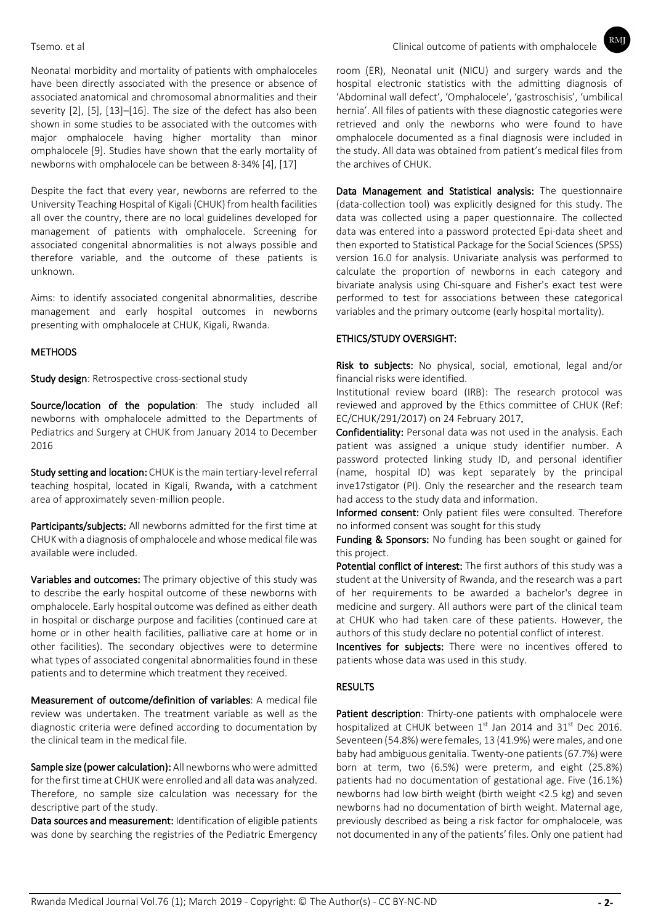Neonatal morbidity and mortality of patients with omphaloceles have been directly associated with the presence or absence of associated anatomical and chromosomal abnormalities and their severity [2], [5], [13]–[16]. The size of the defect has also been shown in some studies to be associated with the outcomes with major omphalocele having higher mortality than minor omphalocele [9]. Studies have shown that the early mortality of newborns with omphalocele can be between 8-34% [4], [17]

Despite the fact that every year, newborns are referred to the University Teaching Hospital of Kigali (CHUK) from health facilities all over the country, there are no local guidelines developed for management of patients with omphalocele. Screening for associated congenital abnormalities is not always possible and therefore variable, and the outcome of these patients is unknown.

Aims: to identify associated congenital abnormalities, describe management and early hospital outcomes in newborns presenting with omphalocele at CHUK, Kigali, Rwanda.

#### **METHODS**

Study design: Retrospective cross-sectional study

Source/location of the population: The study included all newborns with omphalocele admitted to the Departments of Pediatrics and Surgery at CHUK from January 2014 to December 2016

Study setting and location: CHUK is the main tertiary-level referral teaching hospital, located in Kigali, Rwanda, with a catchment area of approximately seven-million people.

Participants/subjects: All newborns admitted for the first time at CHUK with a diagnosis of omphalocele and whose medical file was available were included.

Variables and outcomes: The primary objective of this study was to describe the early hospital outcome of these newborns with omphalocele. Early hospital outcome was defined as either death in hospital or discharge purpose and facilities (continued care at home or in other health facilities, palliative care at home or in other facilities). The secondary objectives were to determine what types of associated congenital abnormalities found in these patients and to determine which treatment they received.

Measurement of outcome/definition of variables: A medical file review was undertaken. The treatment variable as well as the diagnostic criteria were defined according to documentation by the clinical team in the medical file.

Sample size (power calculation): All newborns who were admitted for the first time at CHUK were enrolled and all data was analyzed. Therefore, no sample size calculation was necessary for the descriptive part of the study.

Data sources and measurement: Identification of eligible patients was done by searching the registries of the Pediatric Emergency room (ER), Neonatal unit (NICU) and surgery wards and the hospital electronic statistics with the admitting diagnosis of 'Abdominal wall defect', 'Omphalocele', 'gastroschisis', 'umbilical hernia'. All files of patients with these diagnostic categories were retrieved and only the newborns who were found to have omphalocele documented as a final diagnosis were included in the study. All data was obtained from patient's medical files from the archives of CHUK.

Data Management and Statistical analysis: The questionnaire (data-collection tool) was explicitly designed for this study. The data was collected using a paper questionnaire. The collected data was entered into a password protected Epi-data sheet and then exported to Statistical Package for the Social Sciences (SPSS) version 16.0 for analysis. Univariate analysis was performed to calculate the proportion of newborns in each category and bivariate analysis using Chi-square and Fisher's exact test were performed to test for associations between these categorical variables and the primary outcome (early hospital mortality).

#### ETHICS/STUDY OVERSIGHT:

Risk to subjects: No physical, social, emotional, legal and/or financial risks were identified.

Institutional review board (IRB): The research protocol was reviewed and approved by the Ethics committee of CHUK (Ref: EC/CHUK/291/2017) on 24 February 2017.

Confidentiality: Personal data was not used in the analysis. Each patient was assigned a unique study identifier number. A password protected linking study ID, and personal identifier (name, hospital ID) was kept separately by the principal inve17stigator (PI). Only the researcher and the research team had access to the study data and information.

Informed consent: Only patient files were consulted. Therefore no informed consent was sought for this study

Funding & Sponsors: No funding has been sought or gained for this project.

Potential conflict of interest: The first authors of this study was a student at the University of Rwanda, and the research was a part of her requirements to be awarded a bachelor's degree in medicine and surgery. All authors were part of the clinical team at CHUK who had taken care of these patients. However, the authors of this study declare no potential conflict of interest.

Incentives for subjects: There were no incentives offered to patients whose data was used in this study.

#### **RESULTS**

Patient description: Thirty-one patients with omphalocele were hospitalized at CHUK between  $1<sup>st</sup>$  Jan 2014 and 31 $<sup>st</sup>$  Dec 2016.</sup> Seventeen (54.8%) were females, 13 (41.9%) were males, and one baby had ambiguous genitalia. Twenty-one patients (67.7%) were born at term, two (6.5%) were preterm, and eight (25.8%) patients had no documentation of gestational age. Five (16.1%) newborns had low birth weight (birth weight <2.5 kg) and seven newborns had no documentation of birth weight. Maternal age, previously described as being a risk factor for omphalocele, was not documented in any of the patients' files. Only one patient had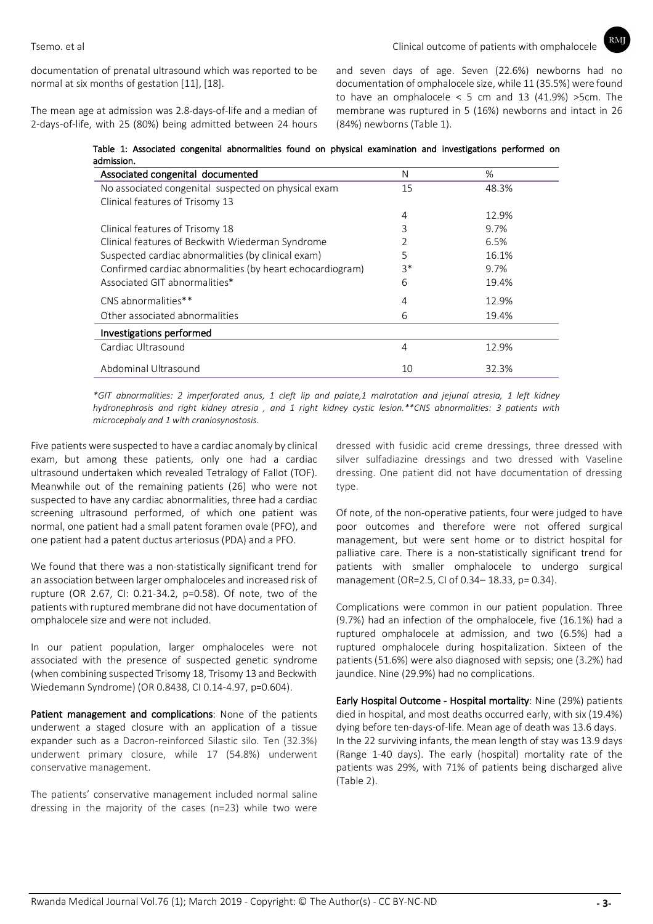$RM$ 

documentation of prenatal ultrasound which was reported to be normal at six months of gestation [11], [18].

The mean age at admission was 2.8-days-of-life and a median of 2-days-of-life, with 25 (80%) being admitted between 24 hours and seven days of age. Seven (22.6%) newborns had no documentation of omphalocele size, while 11 (35.5%) were found to have an omphalocele  $< 5$  cm and 13 (41.9%) >5cm. The membrane was ruptured in 5 (16%) newborns and intact in 26 (84%) newborns (Table 1).

Table 1: Associated congenital abnormalities found on physical examination and investigations performed on admission.

| Associated congenital documented                          | N    | %     |
|-----------------------------------------------------------|------|-------|
| No associated congenital suspected on physical exam       | 15   | 48.3% |
| Clinical features of Trisomy 13                           |      |       |
|                                                           | 4    | 12.9% |
| Clinical features of Trisomy 18                           | 3    | 9.7%  |
| Clinical features of Beckwith Wiederman Syndrome          |      | 6.5%  |
| Suspected cardiac abnormalities (by clinical exam)        | 5    | 16.1% |
| Confirmed cardiac abnormalities (by heart echocardiogram) | $3*$ | 9.7%  |
| Associated GIT abnormalities*                             | 6    | 19.4% |
| CNS abnormalities**                                       | 4    | 12.9% |
| Other associated abnormalities                            | 6    | 19.4% |
| Investigations performed                                  |      |       |
| Cardiac Ultrasound                                        | 4    | 12.9% |
| Abdominal Ultrasound                                      | 10   | 32.3% |

*\*GIT abnormalities: 2 imperforated anus, 1 cleft lip and palate,1 malrotation and jejunal atresia, 1 left kidney hydronephrosis and right kidney atresia , and 1 right kidney cystic lesion.\*\*CNS abnormalities: 3 patients with microcephaly and 1 with craniosynostosis.*

Five patients were suspected to have a cardiac anomaly by clinical exam, but among these patients, only one had a cardiac ultrasound undertaken which revealed Tetralogy of Fallot (TOF). Meanwhile out of the remaining patients (26) who were not suspected to have any cardiac abnormalities, three had a cardiac screening ultrasound performed, of which one patient was normal, one patient had a small patent foramen ovale (PFO), and one patient had a patent ductus arteriosus (PDA) and a PFO.

We found that there was a non-statistically significant trend for an association between larger omphaloceles and increased risk of rupture (OR 2.67, CI: 0.21-34.2, p=0.58). Of note, two of the patients with ruptured membrane did not have documentation of omphalocele size and were not included.

In our patient population, larger omphaloceles were not associated with the presence of suspected genetic syndrome (when combining suspected Trisomy 18, Trisomy 13 and Beckwith Wiedemann Syndrome) (OR 0.8438, CI 0.14-4.97, p=0.604).

Patient management and complications: None of the patients underwent a staged closure with an application of a tissue expander such as a Dacron-reinforced Silastic silo. Ten (32.3%) underwent primary closure, while 17 (54.8%) underwent conservative management.

The patients' conservative management included normal saline dressing in the majority of the cases (n=23) while two were

dressed with fusidic acid creme dressings, three dressed with silver sulfadiazine dressings and two dressed with Vaseline dressing. One patient did not have documentation of dressing type.

Of note, of the non-operative patients, four were judged to have poor outcomes and therefore were not offered surgical management, but were sent home or to district hospital for palliative care. There is a non-statistically significant trend for patients with smaller omphalocele to undergo surgical management (OR=2.5, CI of 0.34– 18.33, p= 0.34).

Complications were common in our patient population. Three (9.7%) had an infection of the omphalocele, five (16.1%) had a ruptured omphalocele at admission, and two (6.5%) had a ruptured omphalocele during hospitalization. Sixteen of the patients (51.6%) were also diagnosed with sepsis; one (3.2%) had jaundice. Nine (29.9%) had no complications.

Early Hospital Outcome - Hospital mortality: Nine (29%) patients died in hospital, and most deaths occurred early, with six (19.4%) dying before ten-days-of-life. Mean age of death was 13.6 days. In the 22 surviving infants, the mean length of stay was 13.9 days (Range 1-40 days). The early (hospital) mortality rate of the patients was 29%, with 71% of patients being discharged alive (Table 2).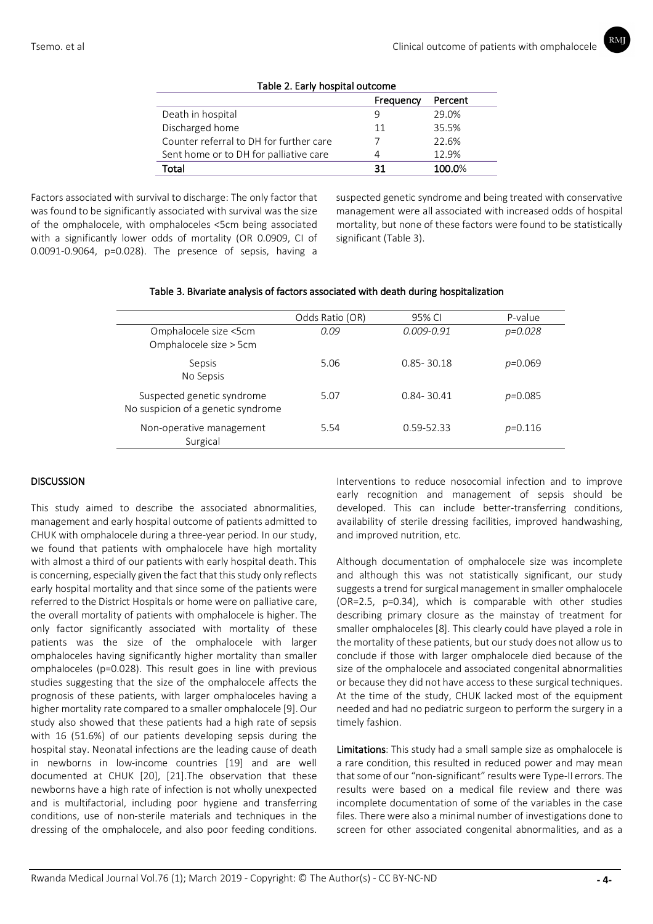| Table 2. Early nospital outcome         |           |         |  |
|-----------------------------------------|-----------|---------|--|
|                                         | Frequency | Percent |  |
| Death in hospital                       |           | 29.0%   |  |
| Discharged home                         | 11        | 35.5%   |  |
| Counter referral to DH for further care |           | 22.6%   |  |
| Sent home or to DH for palliative care  |           | 12.9%   |  |
| Total                                   | 31        | 100.0%  |  |
|                                         |           |         |  |

# Table 2. Early hospital outcome

Factors associated with survival to discharge: The only factor that was found to be significantly associated with survival was the size of the omphalocele, with omphaloceles <5cm being associated with a significantly lower odds of mortality (OR 0.0909, CI of 0.0091-0.9064, p=0.028). The presence of sepsis, having a

suspected genetic syndrome and being treated with conservative management were all associated with increased odds of hospital mortality, but none of these factors were found to be statistically significant (Table 3).

|                                    | Odds Ratio (OR) | 95% CI         | P-value     |
|------------------------------------|-----------------|----------------|-------------|
| Omphalocele size <5cm              | 0.09            | $0.009 - 0.91$ | $p = 0.028$ |
| Omphalocele size > 5cm             |                 |                |             |
| Sepsis                             | 5.06            | $0.85 - 30.18$ | $p=0.069$   |
| No Sepsis                          |                 |                |             |
| Suspected genetic syndrome         | 5.07            | $0.84 - 30.41$ | $p=0.085$   |
| No suspicion of a genetic syndrome |                 |                |             |
| Non-operative management           | 5.54            | 0.59-52.33     | $p=0.116$   |
| Surgical                           |                 |                |             |

## Table 3. Bivariate analysis of factors associated with death during hospitalization

### **DISCUSSION**

This study aimed to describe the associated abnormalities, management and early hospital outcome of patients admitted to CHUK with omphalocele during a three-year period. In our study, we found that patients with omphalocele have high mortality with almost a third of our patients with early hospital death. This is concerning, especially given the fact that this study only reflects early hospital mortality and that since some of the patients were referred to the District Hospitals or home were on palliative care, the overall mortality of patients with omphalocele is higher. The only factor significantly associated with mortality of these patients was the size of the omphalocele with larger omphaloceles having significantly higher mortality than smaller omphaloceles (p=0.028). This result goes in line with previous studies suggesting that the size of the omphalocele affects the prognosis of these patients, with larger omphaloceles having a higher mortality rate compared to a smaller omphalocele [9]. Our study also showed that these patients had a high rate of sepsis with 16 (51.6%) of our patients developing sepsis during the hospital stay. Neonatal infections are the leading cause of death in newborns in low-income countries [19] and are well documented at CHUK [20], [21].The observation that these newborns have a high rate of infection is not wholly unexpected and is multifactorial, including poor hygiene and transferring conditions, use of non-sterile materials and techniques in the dressing of the omphalocele, and also poor feeding conditions.

Interventions to reduce nosocomial infection and to improve early recognition and management of sepsis should be developed. This can include better-transferring conditions, availability of sterile dressing facilities, improved handwashing, and improved nutrition, etc.

Although documentation of omphalocele size was incomplete and although this was not statistically significant, our study suggests a trend for surgical management in smaller omphalocele (OR=2.5, p=0.34), which is comparable with other studies describing primary closure as the mainstay of treatment for smaller omphaloceles [8]. This clearly could have played a role in the mortality of these patients, but our study does not allow us to conclude if those with larger omphalocele died because of the size of the omphalocele and associated congenital abnormalities or because they did not have access to these surgical techniques. At the time of the study, CHUK lacked most of the equipment needed and had no pediatric surgeon to perform the surgery in a timely fashion.

Limitations: This study had a small sample size as omphalocele is a rare condition, this resulted in reduced power and may mean that some of our "non-significant" results were Type-II errors. The results were based on a medical file review and there was incomplete documentation of some of the variables in the case files. There were also a minimal number of investigations done to screen for other associated congenital abnormalities, and as a